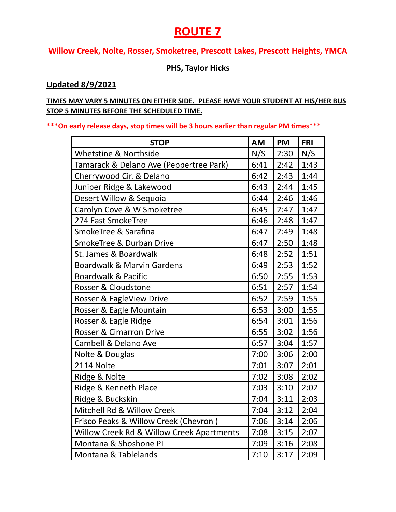# **ROUTE 7**

### **Willow Creek, Nolte, Rosser, Smoketree, Prescott Lakes, Prescott Heights, YMCA**

#### **PHS, Taylor Hicks**

#### **Updated 8/9/2021**

#### **TIMES MAY VARY 5 MINUTES ON EITHER SIDE. PLEASE HAVE YOUR STUDENT AT HIS/HER BUS STOP 5 MINUTES BEFORE THE SCHEDULED TIME.**

**\*\*\*On early release days, stop times will be 3 hours earlier than regular PM times\*\*\***

| <b>STOP</b>                               | <b>AM</b> | <b>PM</b> | <b>FRI</b> |
|-------------------------------------------|-----------|-----------|------------|
| Whetstine & Northside                     | N/S       | 2:30      | N/S        |
| Tamarack & Delano Ave (Peppertree Park)   | 6:41      | 2:42      | 1:43       |
| Cherrywood Cir. & Delano                  | 6:42      | 2:43      | 1:44       |
| Juniper Ridge & Lakewood                  | 6:43      | 2:44      | 1:45       |
| Desert Willow & Sequoia                   | 6:44      | 2:46      | 1:46       |
| Carolyn Cove & W Smoketree                | 6:45      | 2:47      | 1:47       |
| 274 East SmokeTree                        | 6:46      | 2:48      | 1:47       |
| SmokeTree & Sarafina                      | 6:47      | 2:49      | 1:48       |
| SmokeTree & Durban Drive                  | 6:47      | 2:50      | 1:48       |
| St. James & Boardwalk                     | 6:48      | 2:52      | 1:51       |
| <b>Boardwalk &amp; Marvin Gardens</b>     | 6:49      | 2:53      | 1:52       |
| <b>Boardwalk &amp; Pacific</b>            | 6:50      | 2:55      | 1:53       |
| Rosser & Cloudstone                       | 6:51      | 2:57      | 1:54       |
| Rosser & EagleView Drive                  | 6:52      | 2:59      | 1:55       |
| Rosser & Eagle Mountain                   | 6:53      | 3:00      | 1:55       |
| Rosser & Eagle Ridge                      | 6:54      | 3:01      | 1:56       |
| <b>Rosser &amp; Cimarron Drive</b>        | 6:55      | 3:02      | 1:56       |
| Cambell & Delano Ave                      | 6:57      | 3:04      | 1:57       |
| Nolte & Douglas                           | 7:00      | 3:06      | 2:00       |
| 2114 Nolte                                | 7:01      | 3:07      | 2:01       |
| Ridge & Nolte                             | 7:02      | 3:08      | 2:02       |
| Ridge & Kenneth Place                     | 7:03      | 3:10      | 2:02       |
| Ridge & Buckskin                          | 7:04      | 3:11      | 2:03       |
| Mitchell Rd & Willow Creek                | 7:04      | 3:12      | 2:04       |
| Frisco Peaks & Willow Creek (Chevron)     | 7:06      | 3:14      | 2:06       |
| Willow Creek Rd & Willow Creek Apartments | 7:08      | 3:15      | 2:07       |
| Montana & Shoshone PL                     | 7:09      | 3:16      | 2:08       |
| Montana & Tablelands                      | 7:10      | 3:17      | 2:09       |